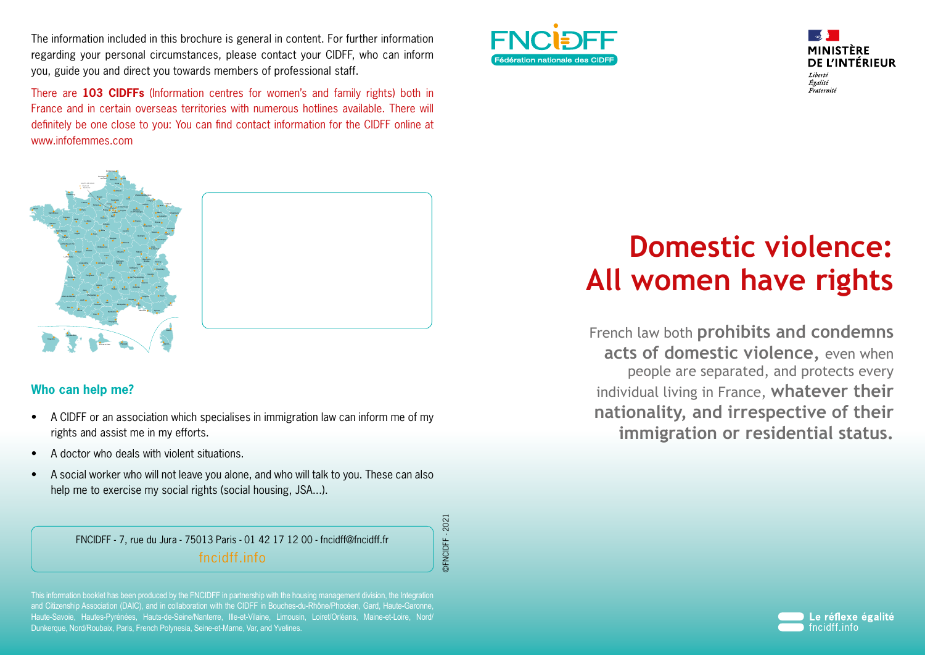The information included in this brochure is general in content. For further information regarding your personal circumstances, please contact your CIDFF, who can inform you, guide you and direct you towards members of professional staff.

There are **103 CIDFFs** (Information centres for women's and family rights) both in France and in certain overseas territories with numerous hotlines available. There will definitely be one close to you: You can find contact information for the CIDFF online at www.infofemmes.com Fédération des CIDFF



## **Who can help me?**

- A CIDFF or an association which specialises in immigration law can inform me of my rights and assist me in my efforts.
- A doctor who deals with violent situations.
- A social worker who will not leave you alone, and who will talk to you. These can also help me to exercise my social rights (social housing, JSA...).

FNCIDFF - 7, rue du Jura - 75013 Paris - 01 42 17 12 00 - fncidff@fncidff.fr fncidff.info

©FNCIDFF - 2021DFNCIDFF-2021

This information booklet has been produced by the FNCIDFF in partnership with the housing management division, the Integration and Citizenship Association (DAIC), and in collaboration with the CIDFF in Bouches-du-Rhône/Phocéen, Gard, Haute-Garonne, Haute-Savoie, Hautes-Pyrénées, Hauts-de-Seine/Nanterre, Ille-et-Vilaine, Limousin, Loiret/Orléans, Maine-et-Loire, Nord/ Dunkerque, Nord/Roubaix, Paris, French Polynesia, Seine-et-Marne, Var, and Yvelines.





# **Domestic violence: All women have rights**

French law both **prohibits and condemns acts of domestic violence,** even when people are separated, and protects every individual living in France, **whatever their nationality, and irrespective of their immigration or residential status.**